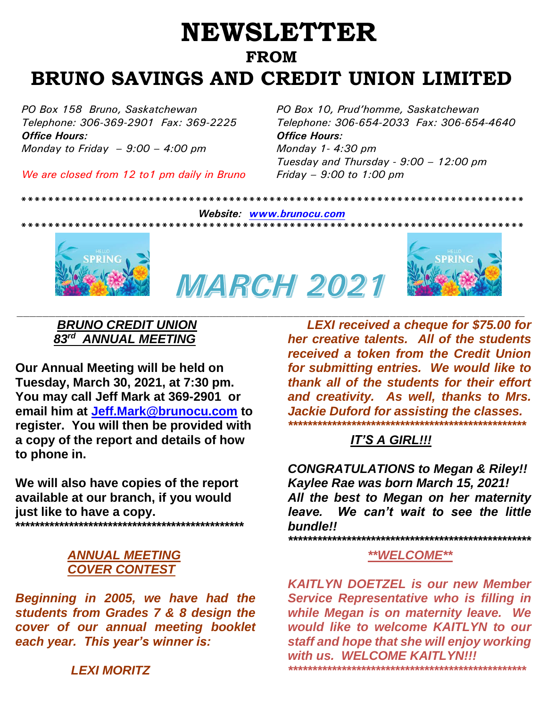# **NEWSLETTER FROM BRUNO SAVINGS AND CREDIT UNION LIMITED**

*PO Box 158 Bruno, Saskatchewan PO Box 10, Prud'homme, Saskatchewan Office Hours: Office Hours: Monday to Friday – 9:00 – 4:00 pm Monday 1- 4:30 pm*

*We are closed from 12 to1 pm daily in Bruno Friday – 9:00 to 1:00 pm*

*Telephone: 306-369-2901 Fax: 369-2225 Telephone: 306-654-2033 Fax: 306-654-4640 Tuesday and Thursday - 9:00 – 12:00 pm*

*\*\*\*\*\*\*\*\*\*\*\*\*\*\*\*\*\*\*\*\*\*\*\*\*\*\*\*\*\*\*\*\*\*\*\*\*\*\*\*\*\*\*\*\*\*\*\*\*\*\*\*\*\*\*\*\*\*\*\*\*\*\*\*\*\*\*\*\*\*\*\*\*\*\*\**

*Website: [www.brunocu.com](http://www.brunocu.com/) \*\*\*\*\*\*\*\*\*\*\*\*\*\*\*\*\*\*\*\*\*\*\*\*\*\*\*\*\*\*\*\*\*\*\*\*\*\*\*\*\*\*\*\*\*\*\*\*\*\*\*\*\*\*\*\*\*\*\*\*\*\*\*\*\*\*\*\*\*\*\*\*\*\*\**







## *BRUNO CREDIT UNION 83rd ANNUAL MEETING*

**Our Annual Meeting will be held on Tuesday, March 30, 2021, at 7:30 pm. You may call Jeff Mark at 369-2901 or email him at [Jeff.Mark@brunocu.com](mailto:Jeff.Mark@brunocu.com) to register. You will then be provided with a copy of the report and details of how to phone in.** 

**We will also have copies of the report available at our branch, if you would just like to have a copy. \*\*\*\*\*\*\*\*\*\*\*\*\*\*\*\*\*\*\*\*\*\*\*\*\*\*\*\*\*\*\*\*\*\*\*\*\*\*\*\*\*\*\*\*\*\*\***

#### *ANNUAL MEETING COVER CONTEST*

*Beginning in 2005, we have had the students from Grades 7 & 8 design the cover of our annual meeting booklet each year. This year's winner is:*

 *LEXI MORITZ*

*LEXI received a cheque for \$75.00 for her creative talents. All of the students received a token from the Credit Union for submitting entries. We would like to thank all of the students for their effort and creativity. As well, thanks to Mrs. Jackie Duford for assisting the classes. \*\*\*\*\*\*\*\*\*\*\*\*\*\*\*\*\*\*\*\*\*\*\*\*\*\*\*\*\*\*\*\*\*\*\*\*\*\*\*\*\*\*\*\*\*\*\*\*\**

### *IT'S A GIRL!!!*

*CONGRATULATIONS to Megan & Riley!! Kaylee Rae was born March 15, 2021! All the best to Megan on her maternity leave. We can't wait to see the little bundle!!*

*\*\*\*\*\*\*\*\*\*\*\*\*\*\*\*\*\*\*\*\*\*\*\*\*\*\*\*\*\*\*\*\*\*\*\*\*\*\*\*\*\*\*\*\*\*\*\*\*\*\**

#### *\*\*WELCOME\*\**

*KAITLYN DOETZEL is our new Member Service Representative who is filling in while Megan is on maternity leave. We would like to welcome KAITLYN to our staff and hope that she will enjoy working with us. WELCOME KAITLYN!!! \*\*\*\*\*\*\*\*\*\*\*\*\*\*\*\*\*\*\*\*\*\*\*\*\*\*\*\*\*\*\*\*\*\*\*\*\*\*\*\*\*\*\*\*\*\*\*\*\**